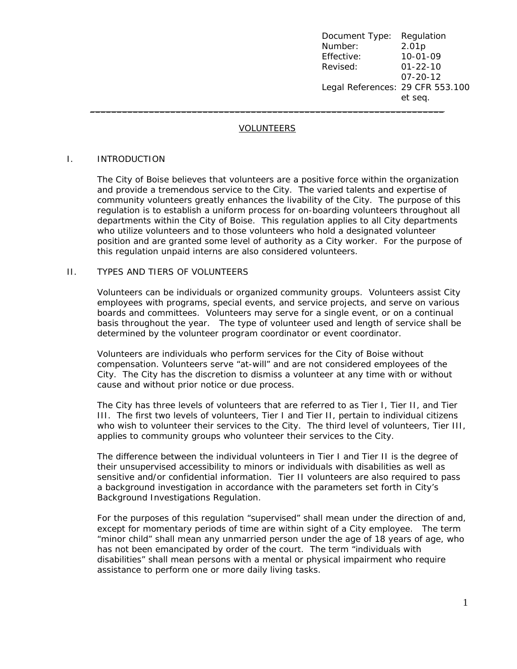Document Type: Regulation Number: 2.01p Effective: 10-01-09 Revised: 01-22-10 07-20-12 Legal References: 29 CFR 553.100 et seq. \_\_\_\_\_\_\_\_\_\_\_\_\_\_\_\_\_\_\_\_\_\_\_\_\_\_\_\_\_\_\_\_\_\_\_\_\_\_\_\_\_\_\_\_\_\_\_\_\_\_\_\_\_\_\_\_\_\_\_\_\_\_\_\_\_\_

#### VOLUNTEERS

#### I. INTRODUCTION

The City of Boise believes that volunteers are a positive force within the organization and provide a tremendous service to the City. The varied talents and expertise of community volunteers greatly enhances the livability of the City. The purpose of this regulation is to establish a uniform process for on-boarding volunteers throughout all departments within the City of Boise. This regulation applies to all City departments who utilize volunteers and to those volunteers who hold a designated volunteer position and are granted some level of authority as a City worker. For the purpose of this regulation unpaid interns are also considered volunteers.

#### II. TYPES AND TIERS OF VOLUNTEERS

Volunteers can be individuals or organized community groups. Volunteers assist City employees with programs, special events, and service projects, and serve on various boards and committees. Volunteers may serve for a single event, or on a continual basis throughout the year. The type of volunteer used and length of service shall be determined by the volunteer program coordinator or event coordinator.

Volunteers are individuals who perform services for the City of Boise without compensation. Volunteers serve "at-will" and are not considered employees of the City. The City has the discretion to dismiss a volunteer at any time with or without cause and without prior notice or due process.

The City has three levels of volunteers that are referred to as Tier I, Tier II, and Tier III. The first two levels of volunteers, Tier I and Tier II, pertain to *individual citizens* who wish to volunteer their services to the City. The third level of volunteers, Tier III, applies to *community groups* who volunteer their services to the City.

The difference between the individual volunteers in Tier I and Tier II is the degree of their unsupervised accessibility to minors or individuals with disabilities as well as sensitive and/or confidential information. Tier II volunteers are also required to pass a background investigation in accordance with the parameters set forth in City's Background Investigations Regulation.

For the purposes of this regulation "supervised" shall mean under the direction of and, except for momentary periods of time are within sight of a City employee. The term "minor child" shall mean any unmarried person under the age of 18 years of age, who has not been emancipated by order of the court. The term "individuals with disabilities" shall mean persons with a mental or physical impairment who require assistance to perform one or more daily living tasks.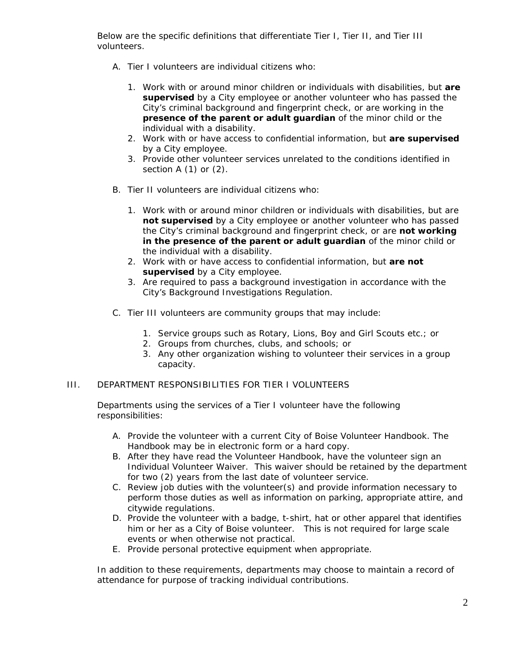Below are the specific definitions that differentiate Tier I, Tier II, and Tier III volunteers.

- A. Tier I volunteers are *individual citizens* who:
	- 1. Work with or around minor children or individuals with disabilities, but **are supervised** by a City employee or another volunteer who has passed the City's criminal background and fingerprint check, or are working in the **presence of the parent or adult guardian** of the minor child or the individual with a disability.
	- 2. Work with or have access to confidential information, but **are supervised** by a City employee.
	- 3. Provide other volunteer services unrelated to the conditions identified in section A (1) or (2).
- B. Tier II volunteers are *individual citizens* who:
	- 1. Work with or around minor children or individuals with disabilities, but are **not supervised** by a City employee or another volunteer who has passed the City's criminal background and fingerprint check, or are **not working in the presence of the parent or adult guardian** of the minor child or the individual with a disability.
	- 2. Work with or have access to confidential information, but **are not supervised** by a City employee.
	- 3. Are required to pass a background investigation in accordance with the City's Background Investigations Regulation.
- C. Tier III volunteers are *community group*s that may include:
	- 1. Service groups such as Rotary, Lions, Boy and Girl Scouts etc.; or
	- 2. Groups from churches, clubs, and schools; or
	- 3. Any other organization wishing to volunteer their services in a group capacity.

## III. DEPARTMENT RESPONSIBILITIES FOR TIER I VOLUNTEERS

Departments using the services of a Tier I volunteer have the following responsibilities:

- A. Provide the volunteer with a current City of Boise Volunteer Handbook. The Handbook may be in electronic form or a hard copy.
- B. After they have read the Volunteer Handbook, have the volunteer sign an Individual Volunteer Waiver. This waiver should be retained by the department for two (2) years from the last date of volunteer service.
- C. Review job duties with the volunteer(s) and provide information necessary to perform those duties as well as information on parking, appropriate attire, and citywide regulations.
- D. Provide the volunteer with a badge, t-shirt, hat or other apparel that identifies him or her as a City of Boise volunteer. This is not required for large scale events or when otherwise not practical.
- E. Provide personal protective equipment when appropriate.

In addition to these requirements, departments may choose to maintain a record of attendance for purpose of tracking individual contributions.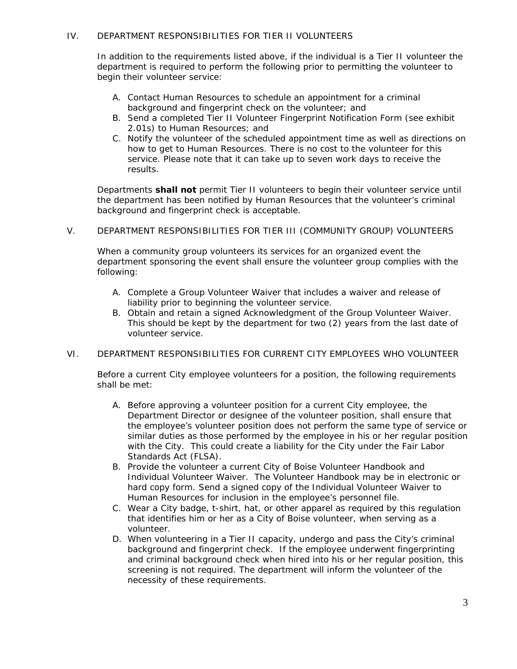# IV. DEPARTMENT RESPONSIBILITIES FOR TIER II VOLUNTEERS

In addition to the requirements listed above, if the individual is a Tier II volunteer the department is required to perform the following prior to permitting the volunteer to begin their volunteer service:

- A. Contact Human Resources to schedule an appointment for a criminal background and fingerprint check on the volunteer; and
- B. Send a completed Tier II Volunteer Fingerprint Notification Form (see exhibit 2.01s) to Human Resources; and
- C. Notify the volunteer of the scheduled appointment time as well as directions on how to get to Human Resources. There is no cost to the volunteer for this service. Please note that it can take up to seven work days to receive the results.

Departments **shall not** permit Tier II volunteers to begin their volunteer service until the department has been notified by Human Resources that the volunteer's criminal background and fingerprint check is acceptable.

V. DEPARTMENT RESPONSIBILITIES FOR TIER III (COMMUNITY GROUP) VOLUNTEERS

When a community group volunteers its services for an organized event the department sponsoring the event shall ensure the volunteer group complies with the following:

- A. Complete a Group Volunteer Waiver that includes a waiver and release of liability prior to beginning the volunteer service.
- B. Obtain and retain a signed Acknowledgment of the Group Volunteer Waiver. This should be kept by the department for two (2) years from the last date of volunteer service.
- VI. DEPARTMENT RESPONSIBILITIES FOR CURRENT CITY EMPLOYEES WHO VOLUNTEER

Before a current City employee volunteers for a position, the following requirements shall be met:

- A. Before approving a volunteer position for a current City employee, the Department Director or designee of the volunteer position, shall ensure that the employee's volunteer position does not perform the same type of service or similar duties as those performed by the employee in his or her regular position with the City. This could create a liability for the City under the Fair Labor Standards Act (FLSA).
- B. Provide the volunteer a current City of Boise Volunteer Handbook and Individual Volunteer Waiver. The Volunteer Handbook may be in electronic or hard copy form. Send a signed copy of the Individual Volunteer Waiver to Human Resources for inclusion in the employee's personnel file.
- C. Wear a City badge, t-shirt, hat, or other apparel as required by this regulation that identifies him or her as a City of Boise volunteer, when serving as a volunteer.
- D. When volunteering in a Tier II capacity, undergo and pass the City's criminal background and fingerprint check. If the employee underwent fingerprinting and criminal background check when hired into his or her regular position, this screening is not required. The department will inform the volunteer of the necessity of these requirements.